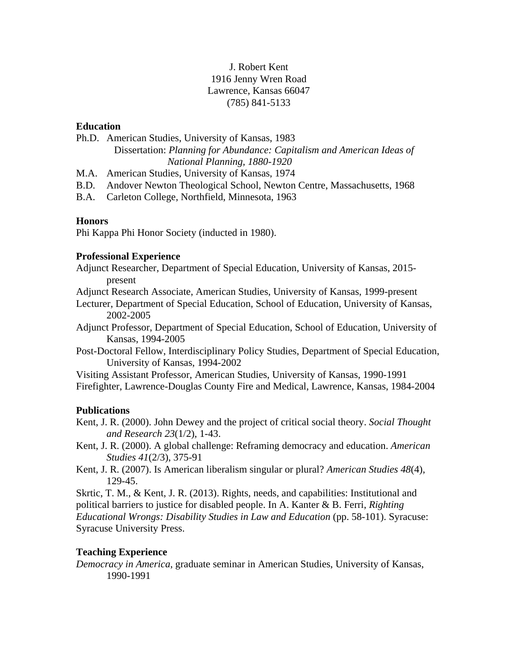# J. Robert Kent 1916 Jenny Wren Road Lawrence, Kansas 66047 (785) 841-5133

### **Education**

Ph.D. American Studies, University of Kansas, 1983

Dissertation: *Planning for Abundance: Capitalism and American Ideas of National Planning, 1880-1920*

M.A. American Studies, University of Kansas, 1974

B.D. Andover Newton Theological School, Newton Centre, Massachusetts, 1968

B.A. Carleton College, Northfield, Minnesota, 1963

# **Honors**

Phi Kappa Phi Honor Society (inducted in 1980).

### **Professional Experience**

Adjunct Researcher, Department of Special Education, University of Kansas, 2015 present

Adjunct Research Associate, American Studies, University of Kansas, 1999-present

Lecturer, Department of Special Education, School of Education, University of Kansas, 2002-2005

Adjunct Professor, Department of Special Education, School of Education, University of Kansas, 1994-2005

Post-Doctoral Fellow, Interdisciplinary Policy Studies, Department of Special Education, University of Kansas, 1994-2002

Visiting Assistant Professor, American Studies, University of Kansas, 1990-1991 Firefighter, Lawrence-Douglas County Fire and Medical, Lawrence, Kansas, 1984-2004

# **Publications**

Kent, J. R. (2000). John Dewey and the project of critical social theory. *Social Thought and Research 23*(1/2), 1-43.

Kent, J. R. (2000). A global challenge: Reframing democracy and education. *American Studies 41*(2/3), 375-91

Kent, J. R. (2007). Is American liberalism singular or plural? *American Studies 48*(4), 129-45.

Skrtic, T. M., & Kent, J. R. (2013). Rights, needs, and capabilities: Institutional and political barriers to justice for disabled people. In A. Kanter & B. Ferri, *Righting Educational Wrongs: Disability Studies in Law and Education* (pp. 58-101). Syracuse: Syracuse University Press.

# **Teaching Experience**

*Democracy in America*, graduate seminar in American Studies, University of Kansas, 1990-1991